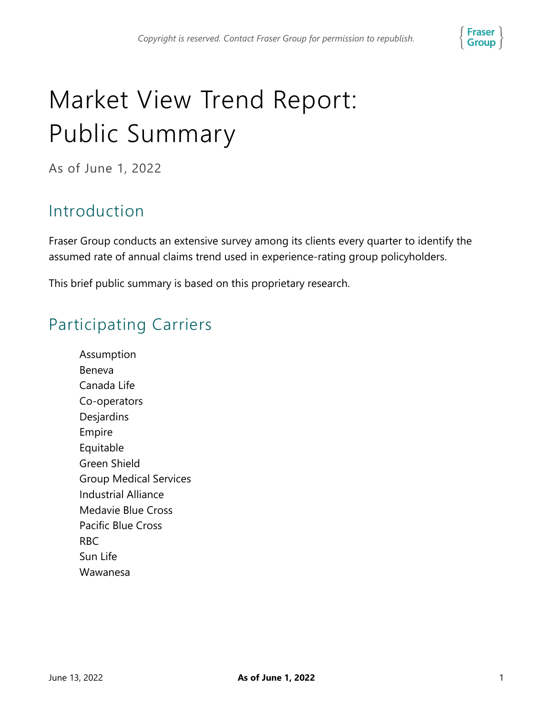

# Market View Trend Report: Public Summary

As of June 1, 2022

### Introduction

Fraser Group conducts an extensive survey among its clients every quarter to identify the assumed rate of annual claims trend used in experience-rating group policyholders.

This brief public summary is based on this proprietary research.

### Participating Carriers

Assumption Beneva Canada Life Co-operators Desjardins Empire Equitable Green Shield Group Medical Services Industrial Alliance Medavie Blue Cross Pacific Blue Cross RBC Sun Life Wawanesa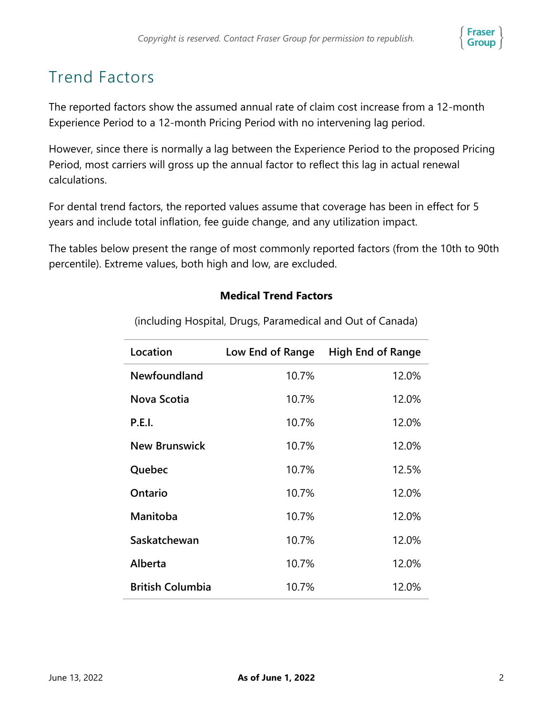

## Trend Factors

The reported factors show the assumed annual rate of claim cost increase from a 12-month Experience Period to a 12-month Pricing Period with no intervening lag period.

However, since there is normally a lag between the Experience Period to the proposed Pricing Period, most carriers will gross up the annual factor to reflect this lag in actual renewal calculations.

For dental trend factors, the reported values assume that coverage has been in effect for 5 years and include total inflation, fee guide change, and any utilization impact.

The tables below present the range of most commonly reported factors (from the 10th to 90th percentile). Extreme values, both high and low, are excluded.

#### **Medical Trend Factors**

| Location                | Low End of Range | <b>High End of Range</b> |
|-------------------------|------------------|--------------------------|
| Newfoundland            | 10.7%            | 12.0%                    |
| Nova Scotia             | 10.7%            | 12.0%                    |
| <b>P.E.I.</b>           | 10.7%            | 12.0%                    |
| <b>New Brunswick</b>    | 10.7%            | 12.0%                    |
| Quebec                  | 10.7%            | 12.5%                    |
| Ontario                 | 10.7%            | 12.0%                    |
| Manitoba                | 10.7%            | 12.0%                    |
| Saskatchewan            | 10.7%            | 12.0%                    |
| Alberta                 | 10.7%            | 12.0%                    |
| <b>British Columbia</b> | 10.7%            | 12.0%                    |

(including Hospital, Drugs, Paramedical and Out of Canada)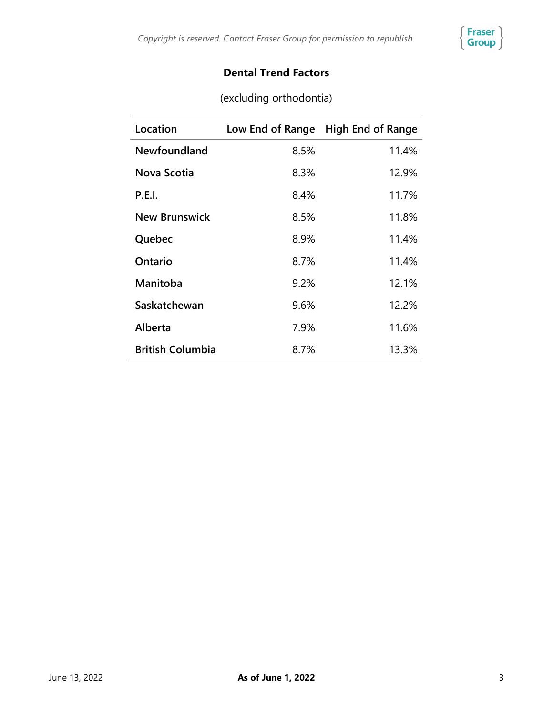

#### **Dental Trend Factors**

| Location                | Low End of Range | <b>High End of Range</b> |
|-------------------------|------------------|--------------------------|
| Newfoundland            | 8.5%             | 11.4%                    |
| Nova Scotia             | 8.3%             | 12.9%                    |
| <b>P.E.I.</b>           | 8.4%             | 11.7%                    |
| <b>New Brunswick</b>    | 8.5%             | 11.8%                    |
| Quebec                  | 8.9%             | 11.4%                    |
| Ontario                 | 8.7%             | 11.4%                    |
| Manitoba                | 9.2%             | 12.1%                    |
| Saskatchewan            | 9.6%             | 12.2%                    |
| Alberta                 | 7.9%             | 11.6%                    |
| <b>British Columbia</b> | 8.7%             | 13.3%                    |

(excluding orthodontia)